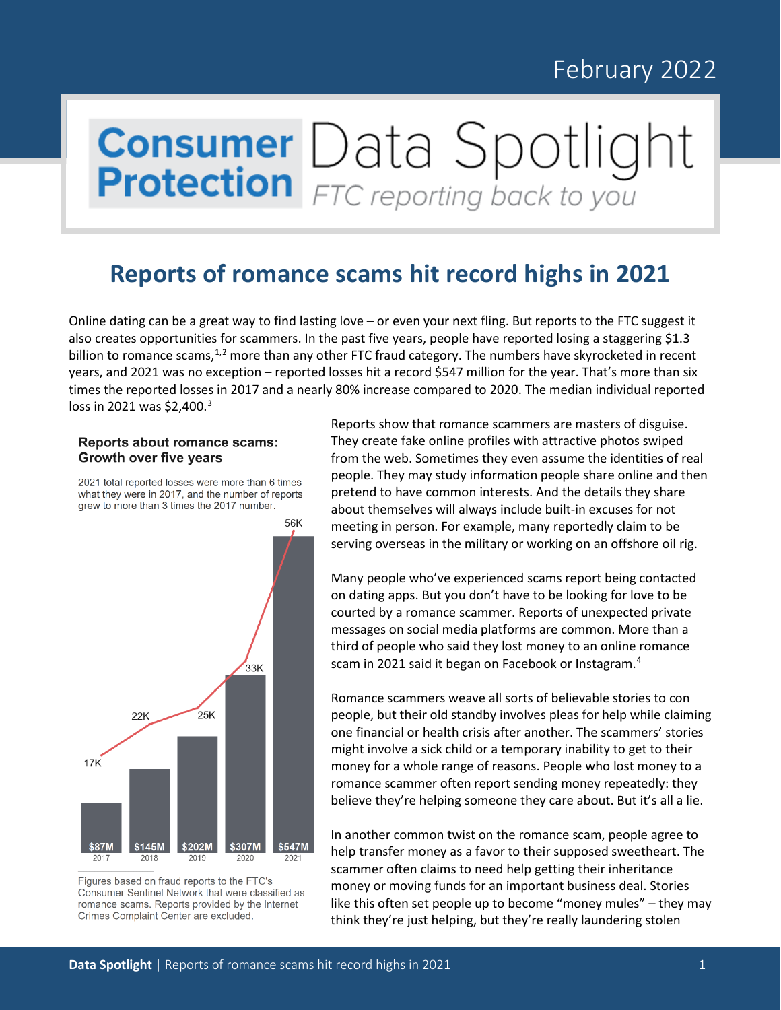# February 2022

# **Consumer** Data Spotlight

## **Reports of romance scams hit record highs in 2021**

Online dating can be a great way to find lasting love – or even your next fling. But reports to the FTC suggest it also creates opportunities for scammers. In the past five years, people have reported losing a staggering \$1.3 billion to romance scams,<sup>[1](#page-2-0),[2](#page-2-1)</sup> more than any other FTC fraud category. The numbers have skyrocketed in recent years, and 2021 was no exception – reported losses hit a record \$547 million for the year. That's more than six times the reported losses in 2017 and a nearly 80% increase compared to 2020. The median individual reported loss in 2021 was \$2,400.<sup>[3](#page-2-2)</sup>

#### **Reports about romance scams: Growth over five years**

2021 total reported losses were more than 6 times what they were in 2017, and the number of reports grew to more than 3 times the 2017 number.



Figures based on fraud reports to the FTC's Consumer Sentinel Network that were classified as romance scams. Reports provided by the Internet Crimes Complaint Center are excluded.

Reports show that romance scammers are masters of disguise. They create fake online profiles with attractive photos swiped from the web. Sometimes they even assume the identities of real people. They may study information people share online and then pretend to have common interests. And the details they share about themselves will always include built-in excuses for not meeting in person. For example, many reportedly claim to be serving overseas in the military or working on an offshore oil rig.

Many people who've experienced scams report being contacted on dating apps. But you don't have to be looking for love to be courted by a romance scammer. Reports of unexpected private messages on social media platforms are common. More than a third of people who said they lost money to an online romance scam in 2021 said it began on Facebook or Instagram.[4](#page-2-3)

Romance scammers weave all sorts of believable stories to con people, but their old standby involves pleas for help while claiming one financial or health crisis after another. The scammers' stories might involve a sick child or a temporary inability to get to their money for a whole range of reasons. People who lost money to a romance scammer often report sending money repeatedly: they believe they're helping someone they care about. But it's all a lie.

In another common twist on the romance scam, people agree to help transfer money as a favor to their supposed sweetheart. The scammer often claims to need help getting their inheritance money or moving funds for an important business deal. Stories like this often set people up to become "money mules" – they may think they're just helping, but they're really laundering stolen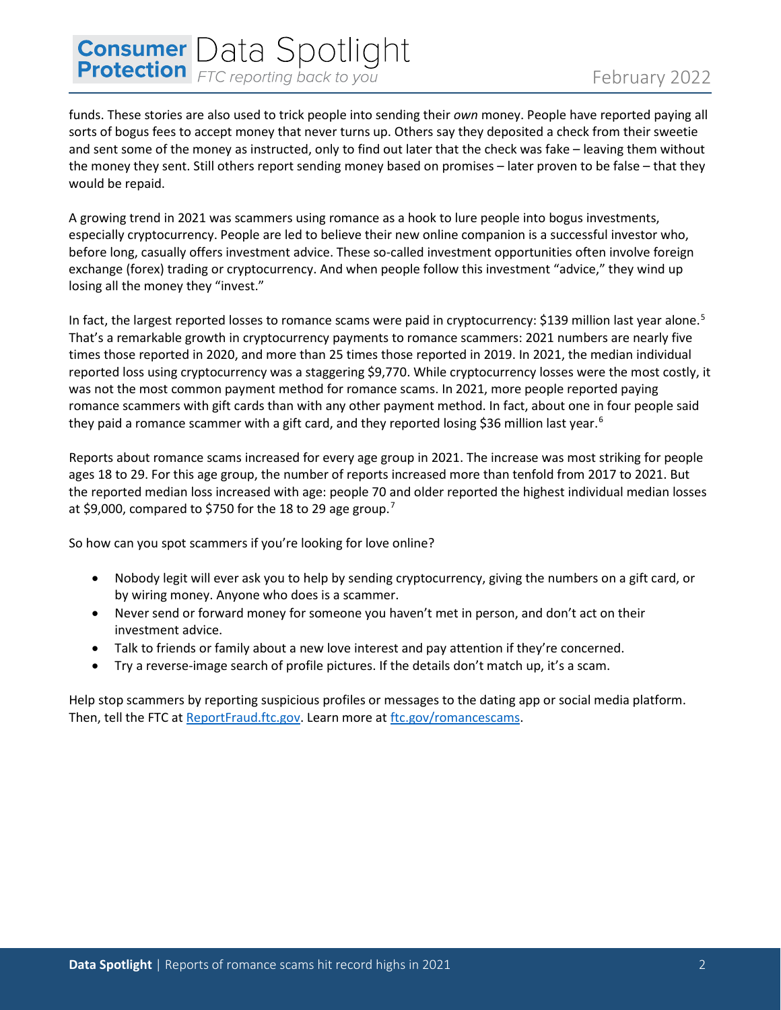### February 2022

funds. These stories are also used to trick people into sending their *own* money. People have reported paying all sorts of bogus fees to accept money that never turns up. Others say they deposited a check from their sweetie and sent some of the money as instructed, only to find out later that the check was fake – leaving them without the money they sent. Still others report sending money based on promises – later proven to be false – that they would be repaid.

A growing trend in 2021 was scammers using romance as a hook to lure people into bogus investments, especially cryptocurrency. People are led to believe their new online companion is a successful investor who, before long, casually offers investment advice. These so-called investment opportunities often involve foreign exchange (forex) trading or cryptocurrency. And when people follow this investment "advice," they wind up losing all the money they "invest."

In fact, the largest reported losses to romance scams were paid in cryptocurrency: \$139 million last year alone.<sup>[5](#page-2-4)</sup> That's a remarkable growth in cryptocurrency payments to romance scammers: 2021 numbers are nearly five times those reported in 2020, and more than 25 times those reported in 2019. In 2021, the median individual reported loss using cryptocurrency was a staggering \$9,770. While cryptocurrency losses were the most costly, it was not the most common payment method for romance scams. In 2021, more people reported paying romance scammers with gift cards than with any other payment method. In fact, about one in four people said they paid a romance scammer with a gift card, and they reported losing \$3[6](#page-2-5) million last year.<sup>6</sup>

Reports about romance scams increased for every age group in 2021. The increase was most striking for people ages 18 to 29. For this age group, the number of reports increased more than tenfold from 2017 to 2021. But the reported median loss increased with age: people 70 and older reported the highest individual median losses at \$9,000, compared to \$[7](#page-2-6)50 for the 18 to 29 age group.<sup>7</sup>

So how can you spot scammers if you're looking for love online?

**Consumer** Data Spotlight

- Nobody legit will ever ask you to help by sending cryptocurrency, giving the numbers on a gift card, or by wiring money. Anyone who does is a scammer.
- Never send or forward money for someone you haven't met in person, and don't act on their investment advice.
- Talk to friends or family about a new love interest and pay attention if they're concerned.
- Try a reverse-image search of profile pictures. If the details don't match up, it's a scam.

Help stop scammers by reporting suspicious profiles or messages to the dating app or social media platform. Then, tell the FTC at [ReportFraud.ftc.gov.](http://www.reportfraud.ftc.gov/) Learn more at [ftc.gov/romancescams.](http://www.ftc.gov/romancescams)